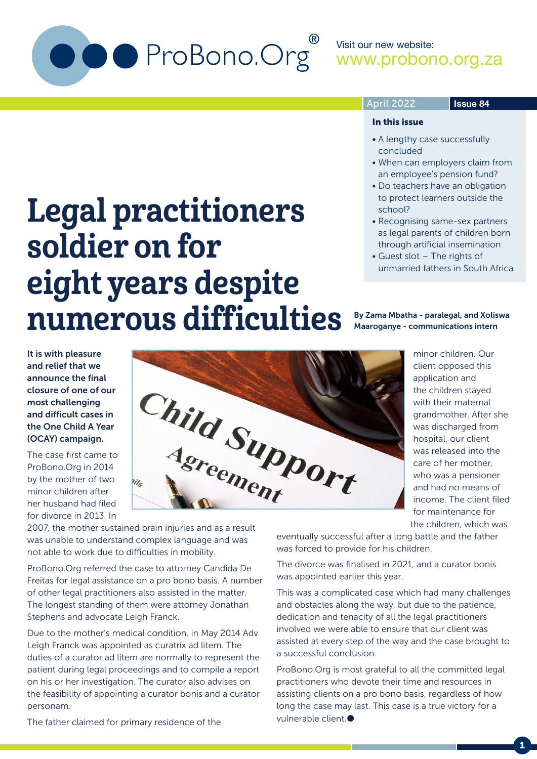

Legal practitioners

eight years despite

numerous difficulties

soldier on for

#### April 2022

#### **Issue 84**

#### In this issue

- A lengthy case successfully concluded
- When can employers claim from an employee's pension fund?
- Do teachers have an obligation to protect learners outside the school?
- Recognising same-sex partners as legal parents of children born through artificial insemination
- Guest slot The rights of unmarried fathers in South Africa

#### By Zama Mbatha - paralegal, and Xoliswa Maaroganye - communications intern

minor children. Our client opposed this application and the children stayed with their maternal grandmother. After she was discharged from hospital, our client was released into the care of her mother, who was a pensioner

It is with pleasure and relief that we announce the final closure of one of our most challenging and difficult cases in the One Child A Year (OCAY) campaign.

The case first came to ProBono.Org in 2014 by the mother of two minor children after her husband had filed for divorce in 2013. In



was unable to understand complex language and was not able to work due to difficulties in mobility.

ProBono.Org referred the case to attorney Candida De Freitas for legal assistance on a pro bono basis. A number of other legal practitioners also assisted in the matter. The longest standing of them were attorney Jonathan Stephens and advocate Leigh Franck.

Due to the mother's medical condition, in May 2014 Adv Leigh Franck was appointed as curatrix ad litem. The duties of a curator ad litem are normally to represent the patient during legal proceedings and to compile a report on his or her investigation. The curator also advises on the feasibility of appointing a curator bonis and a curator personam.

The father claimed for primary residence of the

and had no means of income. The client filed for maintenance for the children, which was

eventually successful after a long battle and the father was forced to provide for his children.

The divorce was finalised in 2021, and a curator bonis was appointed earlier this year.

This was a complicated case which had many challenges and obstacles along the way, but due to the patience, dedication and tenacity of all the legal practitioners involved we were able to ensure that our client was assisted at every step of the way and the case brought to a successful conclusion.

ProBono.Org is most grateful to all the committed legal practitioners who devote their time and resources in assisting clients on a pro bono basis, regardless of how long the case may last. This case is a true victory for a vulnerable client.

1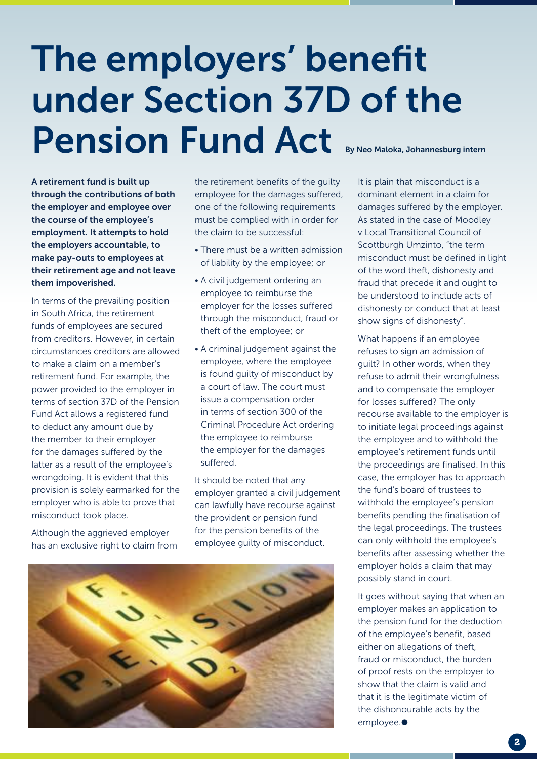## The employers' benefit under Section 37D of the Pension Fund Act By Neo Maloka, Johannesburg intern

A retirement fund is built up through the contributions of both the employer and employee over the course of the employee's employment. It attempts to hold the employers accountable, to make pay-outs to employees at their retirement age and not leave them impoverished.

In terms of the prevailing position in South Africa, the retirement funds of employees are secured from creditors. However, in certain circumstances creditors are allowed to make a claim on a member's retirement fund. For example, the power provided to the employer in terms of section 37D of the Pension Fund Act allows a registered fund to deduct any amount due by the member to their employer for the damages suffered by the latter as a result of the employee's wrongdoing. It is evident that this provision is solely earmarked for the employer who is able to prove that misconduct took place.

Although the aggrieved employer has an exclusive right to claim from the retirement benefits of the guilty employee for the damages suffered, one of the following requirements must be complied with in order for the claim to be successful:

- There must be a written admission of liability by the employee; or
- A civil judgement ordering an employee to reimburse the employer for the losses suffered through the misconduct, fraud or theft of the employee; or
- A criminal judgement against the employee, where the employee is found guilty of misconduct by a court of law. The court must issue a compensation order in terms of section 300 of the Criminal Procedure Act ordering the employee to reimburse the employer for the damages suffered.

It should be noted that any employer granted a civil judgement can lawfully have recourse against the provident or pension fund for the pension benefits of the employee guilty of misconduct.



It is plain that misconduct is a dominant element in a claim for damages suffered by the employer. As stated in the case of Moodley v Local Transitional Council of Scottburgh Umzinto, "the term misconduct must be defined in light of the word theft, dishonesty and fraud that precede it and ought to be understood to include acts of dishonesty or conduct that at least show signs of dishonesty".

What happens if an employee refuses to sign an admission of guilt? In other words, when they refuse to admit their wrongfulness and to compensate the employer for losses suffered? The only recourse available to the employer is to initiate legal proceedings against the employee and to withhold the employee's retirement funds until the proceedings are finalised. In this case, the employer has to approach the fund's board of trustees to withhold the employee's pension benefits pending the finalisation of the legal proceedings. The trustees can only withhold the employee's benefits after assessing whether the employer holds a claim that may possibly stand in court.

It goes without saying that when an employer makes an application to the pension fund for the deduction of the employee's benefit, based either on allegations of theft. fraud or misconduct, the burden of proof rests on the employer to show that the claim is valid and that it is the legitimate victim of the dishonourable acts by the employee.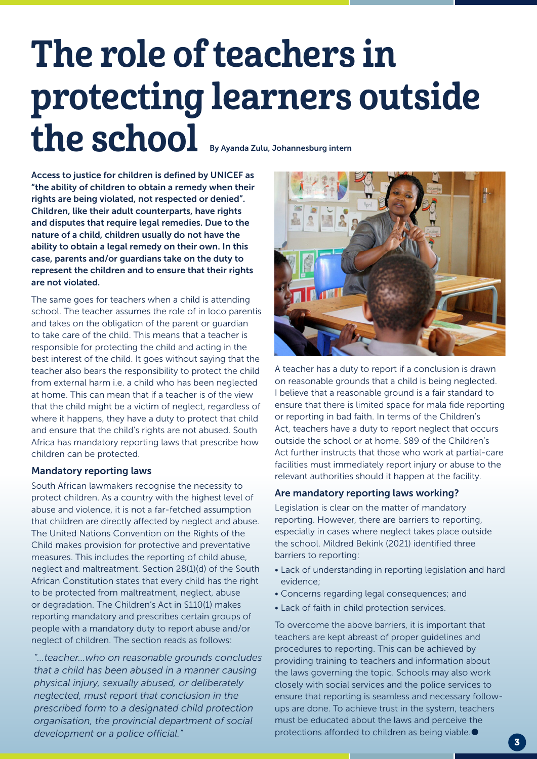# The role of teachers in protecting learners outside the school By Ayanda Zulu, Johannesburg intern

Access to justice for children is defined by UNICEF as "the ability of children to obtain a remedy when their rights are being violated, not respected or denied". Children, like their adult counterparts, have rights and disputes that require legal remedies. Due to the nature of a child, children usually do not have the ability to obtain a legal remedy on their own. In this case, parents and/or guardians take on the duty to represent the children and to ensure that their rights are not violated.

The same goes for teachers when a child is attending school. The teacher assumes the role of in loco parentis and takes on the obligation of the parent or guardian to take care of the child. This means that a teacher is responsible for protecting the child and acting in the best interest of the child. It goes without saying that the teacher also bears the responsibility to protect the child from external harm i.e. a child who has been neglected at home. This can mean that if a teacher is of the view that the child might be a victim of neglect, regardless of where it happens, they have a duty to protect that child and ensure that the child's rights are not abused. South Africa has mandatory reporting laws that prescribe how children can be protected.

#### Mandatory reporting laws

South African lawmakers recognise the necessity to protect children. As a country with the highest level of abuse and violence, it is not a far-fetched assumption that children are directly affected by neglect and abuse. The United Nations Convention on the Rights of the Child makes provision for protective and preventative measures. This includes the reporting of child abuse, neglect and maltreatment. Section 28(1)(d) of the South African Constitution states that every child has the right to be protected from maltreatment, neglect, abuse or degradation. The Children's Act in S110(1) makes reporting mandatory and prescribes certain groups of people with a mandatory duty to report abuse and/or neglect of children. The section reads as follows:

*"…teacher…who on reasonable grounds concludes that a child has been abused in a manner causing physical injury, sexually abused, or deliberately neglected, must report that conclusion in the prescribed form to a designated child protection organisation, the provincial department of social development or a police official."*



A teacher has a duty to report if a conclusion is drawn on reasonable grounds that a child is being neglected. I believe that a reasonable ground is a fair standard to ensure that there is limited space for mala fide reporting or reporting in bad faith. In terms of the Children's Act, teachers have a duty to report neglect that occurs outside the school or at home. S89 of the Children's Act further instructs that those who work at partial-care facilities must immediately report injury or abuse to the relevant authorities should it happen at the facility.

#### Are mandatory reporting laws working?

Legislation is clear on the matter of mandatory reporting. However, there are barriers to reporting, especially in cases where neglect takes place outside the school. Mildred Bekink (2021) identified three barriers to reporting:

- Lack of understanding in reporting legislation and hard evidence;
- Concerns regarding legal consequences; and
- Lack of faith in child protection services.

To overcome the above barriers, it is important that teachers are kept abreast of proper guidelines and procedures to reporting. This can be achieved by providing training to teachers and information about the laws governing the topic. Schools may also work closely with social services and the police services to ensure that reporting is seamless and necessary followups are done. To achieve trust in the system, teachers must be educated about the laws and perceive the protections afforded to children as being viable.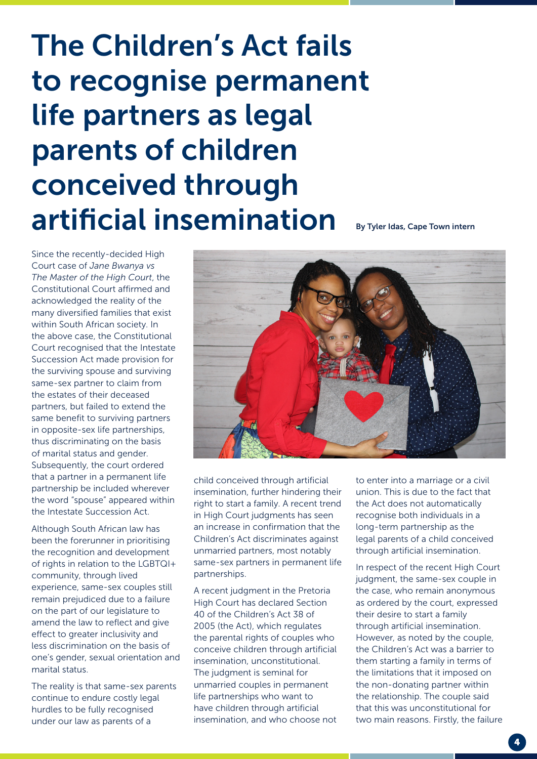### The Children's Act fails to recognise permanent life partners as legal parents of children conceived through artificial insemination By Tyler Idas, Cape Town intern

Since the recently-decided High Court case of *Jane Bwanya vs The Master of the High Court*, the Constitutional Court affirmed and acknowledged the reality of the many diversified families that exist within South African society. In the above case, the Constitutional Court recognised that the Intestate Succession Act made provision for the surviving spouse and surviving same-sex partner to claim from the estates of their deceased partners, but failed to extend the same benefit to surviving partners in opposite-sex life partnerships, thus discriminating on the basis of marital status and gender. Subsequently, the court ordered that a partner in a permanent life partnership be included wherever the word "spouse" appeared within the Intestate Succession Act.

Although South African law has been the forerunner in prioritising the recognition and development of rights in relation to the LGBTQI+ community, through lived experience, same-sex couples still remain prejudiced due to a failure on the part of our legislature to amend the law to reflect and give effect to greater inclusivity and less discrimination on the basis of one's gender, sexual orientation and marital status.

The reality is that same-sex parents continue to endure costly legal hurdles to be fully recognised under our law as parents of a

child conceived through artificial insemination, further hindering their right to start a family. A recent trend in High Court judgments has seen an increase in confirmation that the Children's Act discriminates against unmarried partners, most notably same-sex partners in permanent life partnerships.

A recent judgment in the Pretoria High Court has declared Section 40 of the Children's Act 38 of 2005 (the Act), which regulates the parental rights of couples who conceive children through artificial insemination, unconstitutional. The judgment is seminal for unmarried couples in permanent life partnerships who want to have children through artificial insemination, and who choose not to enter into a marriage or a civil union. This is due to the fact that the Act does not automatically recognise both individuals in a long-term partnership as the legal parents of a child conceived through artificial insemination.

In respect of the recent High Court judgment, the same-sex couple in the case, who remain anonymous as ordered by the court, expressed their desire to start a family through artificial insemination. However, as noted by the couple, the Children's Act was a barrier to them starting a family in terms of the limitations that it imposed on the non-donating partner within the relationship. The couple said that this was unconstitutional for two main reasons. Firstly, the failure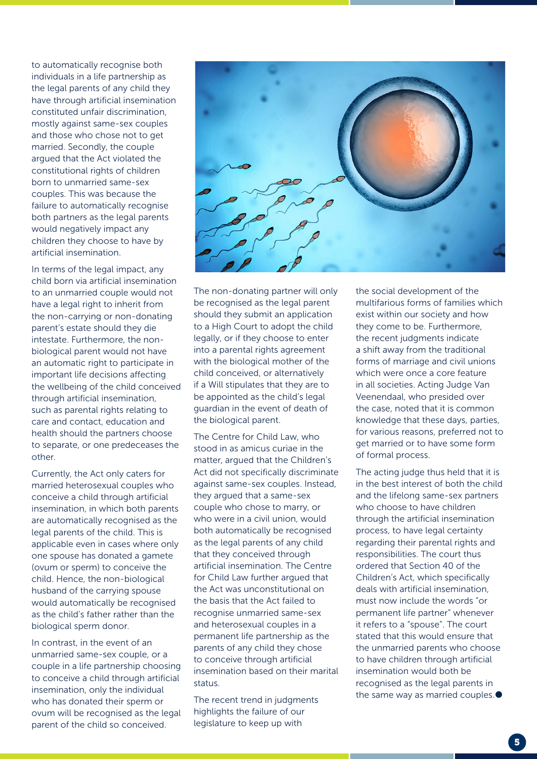to automatically recognise both individuals in a life partnership as the legal parents of any child they have through artificial insemination constituted unfair discrimination, mostly against same-sex couples and those who chose not to get married. Secondly, the couple argued that the Act violated the constitutional rights of children born to unmarried same-sex couples. This was because the failure to automatically recognise both partners as the legal parents would negatively impact any children they choose to have by artificial insemination.

In terms of the legal impact, any child born via artificial insemination to an unmarried couple would not have a legal right to inherit from the non-carrying or non-donating parent's estate should they die intestate. Furthermore, the nonbiological parent would not have an automatic right to participate in important life decisions affecting the wellbeing of the child conceived through artificial insemination, such as parental rights relating to care and contact, education and health should the partners choose to separate, or one predeceases the other.

Currently, the Act only caters for married heterosexual couples who conceive a child through artificial insemination, in which both parents are automatically recognised as the legal parents of the child. This is applicable even in cases where only one spouse has donated a gamete (ovum or sperm) to conceive the child. Hence, the non-biological husband of the carrying spouse would automatically be recognised as the child's father rather than the biological sperm donor.

In contrast, in the event of an unmarried same-sex couple, or a couple in a life partnership choosing to conceive a child through artificial insemination, only the individual who has donated their sperm or ovum will be recognised as the legal parent of the child so conceived.



The non-donating partner will only be recognised as the legal parent should they submit an application to a High Court to adopt the child legally, or if they choose to enter into a parental rights agreement with the biological mother of the child conceived, or alternatively if a Will stipulates that they are to be appointed as the child's legal guardian in the event of death of the biological parent.

The Centre for Child Law, who stood in as amicus curiae in the matter, argued that the Children's Act did not specifically discriminate against same-sex couples. Instead, they argued that a same-sex couple who chose to marry, or who were in a civil union, would both automatically be recognised as the legal parents of any child that they conceived through artificial insemination. The Centre for Child Law further argued that the Act was unconstitutional on the basis that the Act failed to recognise unmarried same-sex and heterosexual couples in a permanent life partnership as the parents of any child they chose to conceive through artificial insemination based on their marital status.

The recent trend in judgments highlights the failure of our legislature to keep up with

the social development of the multifarious forms of families which exist within our society and how they come to be. Furthermore, the recent judgments indicate a shift away from the traditional forms of marriage and civil unions which were once a core feature in all societies. Acting Judge Van Veenendaal, who presided over the case, noted that it is common knowledge that these days, parties, for various reasons, preferred not to get married or to have some form of formal process.

The acting judge thus held that it is in the best interest of both the child and the lifelong same-sex partners who choose to have children through the artificial insemination process, to have legal certainty regarding their parental rights and responsibilities. The court thus ordered that Section 40 of the Children's Act, which specifically deals with artificial insemination, must now include the words "or permanent life partner" whenever it refers to a "spouse". The court stated that this would ensure that the unmarried parents who choose to have children through artificial insemination would both be recognised as the legal parents in the same way as married couples.<sup>●</sup>